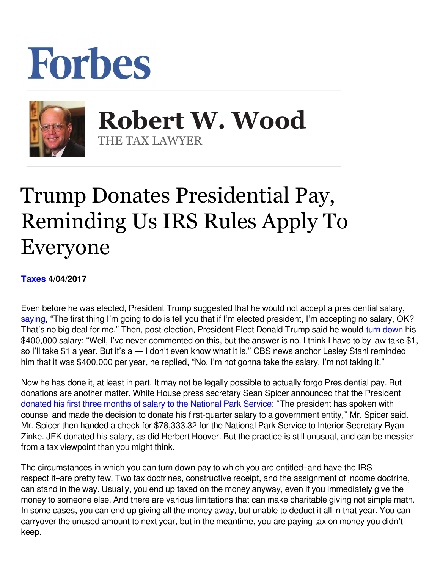## Forbes



**Robert W. Wood Robert W. Wood** THE TAX LAWYER THE TAX LAWYER

## Trump Donates Presidential Pay, Reminding Us IRS Rules Apply To Everyone

## **[Taxes](https://www.forbes.com/taxes) 4/04/2017**

Even before he was elected, President Trump suggested that he would not accept a presidential salary, [saying](http://www.reuters.com/article/us-usa-election-trump-salary-idUSKCN0RI01U20150918), "The first thing I'm going to do is tell you that if I'm elected president, I'm accepting no salary, OK? That's no big deal for me." Then, post-election, President Elect Donald Trump said he would [turn down](http://www.cbsnews.com/news/did-donald-trump-say-hed-refuse-to-take-a-salary-as-president/) his \$400,000 salary: "Well, I've never commented on this, but the answer is no. I think I have to by law take \$1, so I'll take \$1 a year. But it's a - I don't even know what it is." CBS news anchor Lesley Stahl reminded him that it was \$400,000 per year, he replied, "No, I'm not gonna take the salary. I'm not taking it."

Now he has done it, at least in part. It may not be legally possible to actually forgo Presidential pay. But donations are another matter. White House press secretary Sean Spicer announced that the President [donated his first three months of salary to the National Park Service](http://thehill.com/policy/energy-environment/327036-trump-donates-first-quarter-salary-to-national-park-service): "The president has spoken with counsel and made the decision to donate his first-quarter salary to a government entity," Mr. Spicer said. Mr. Spicer then handed a check for \$78,333.32 for the National Park Service to Interior Secretary Ryan Zinke. JFK donated his salary, as did Herbert Hoover. But the practice is still unusual, and can be messier from a tax viewpoint than you might think.

The circumstances in which you can turn down pay to which you are entitled–and have the IRS respect it–are pretty few. Two tax doctrines, constructive receipt, and the assignment of income doctrine, can stand in the way. Usually, you end up taxed on the money anyway, even if you immediately give the money to someone else. And there are various limitations that can make charitable giving not simple math. In some cases, you can end up giving all the money away, but unable to deduct it all in that year. You can carryover the unused amount to next year, but in the meantime, you are paying tax on money you didn't keep.